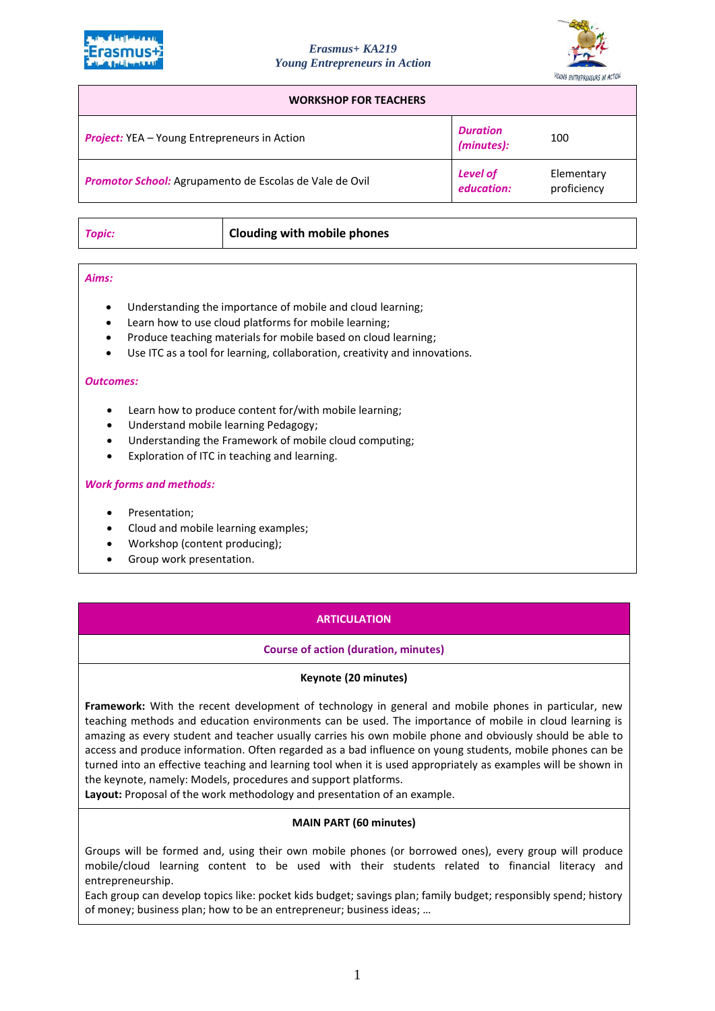



#### **WORKSHOP FOR TEACHERS**

| <b>Project:</b> YEA - Young Entrepreneurs in Action     | <b>Duration</b><br>(minutes): | 100                       |
|---------------------------------------------------------|-------------------------------|---------------------------|
| Promotor School: Agrupamento de Escolas de Vale de Ovil | <b>Level of</b><br>education: | Elementary<br>proficiency |

| Topic: | Clouding with mobile phones |
|--------|-----------------------------|

#### *Aims:*

- Understanding the importance of mobile and cloud learning;
- Learn how to use cloud platforms for mobile learning;
- Produce teaching materials for mobile based on cloud learning;
- Use ITC as a tool for learning, collaboration, creativity and innovations.

#### *Outcomes:*

- Learn how to produce content for/with mobile learning;
- Understand mobile learning Pedagogy;
- Understanding the Framework of mobile cloud computing;
- Exploration of ITC in teaching and learning.

## *Work forms and methods:*

- Presentation;
- Cloud and mobile learning examples;
- Workshop (content producing);
- Group work presentation.

# **ARTICULATION**

# **Course of action (duration, minutes)**

## **Keynote (20 minutes)**

**Framework:** With the recent development of technology in general and mobile phones in particular, new teaching methods and education environments can be used. The importance of mobile in cloud learning is amazing as every student and teacher usually carries his own mobile phone and obviously should be able to access and produce information. Often regarded as a bad influence on young students, mobile phones can be turned into an effective teaching and learning tool when it is used appropriately as examples will be shown in the keynote, namely: Models, procedures and support platforms.

**Layout:** Proposal of the work methodology and presentation of an example.

## **MAIN PART (60 minutes)**

Groups will be formed and, using their own mobile phones (or borrowed ones), every group will produce mobile/cloud learning content to be used with their students related to financial literacy and entrepreneurship.

Each group can develop topics like: pocket kids budget; savings plan; family budget; responsibly spend; history of money; business plan; how to be an entrepreneur; business ideas; …